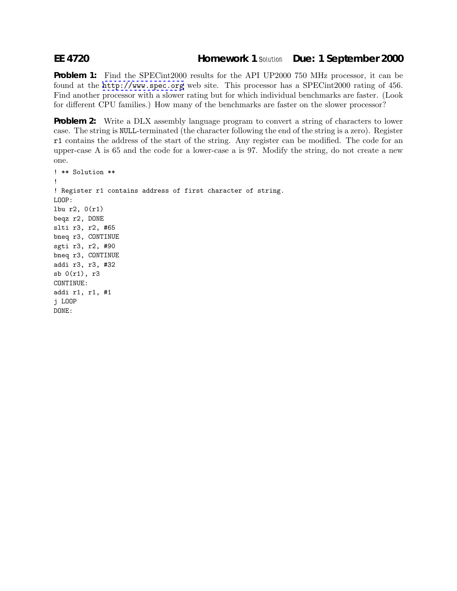## **EE 4720 Homework 1** *Solution* **Due: 1 September 2000**

**Problem 1:** Find the SPEC intertailler for the API UP2000 750 MHz processor, it can be found at the <http://www.spec.org> web site. This processor has a SPECint2000 rating of 456. Find another processor with a slower rating but for which individual benchmarks are faster. (Look for different CPU families.) How many of the benchmarks are faster on the slower processor?

**Problem 2:** Write a DLX assembly language program to convert a string of characters to lower case. The string is NULL-terminated (the character following the end of the string is a zero). Register r1 contains the address of the start of the string. Any register can be modified. The code for an upper-case A is 65 and the code for a lower-case a is 97. Modify the string, do not create a new one.

```
! ** Solution **
!
! Register r1 contains address of first character of string.
LOOP:
lbu r2, 0(r1)
beqz r2, DONE
slti r3, r2, #65
bneq r3, CONTINUE
sgti r3, r2, #90
bneq r3, CONTINUE
addi r3, r3, #32
sb 0(r1), r3
CONTINUE:
addi r1, r1, #1
j LOOP
DONE:
```